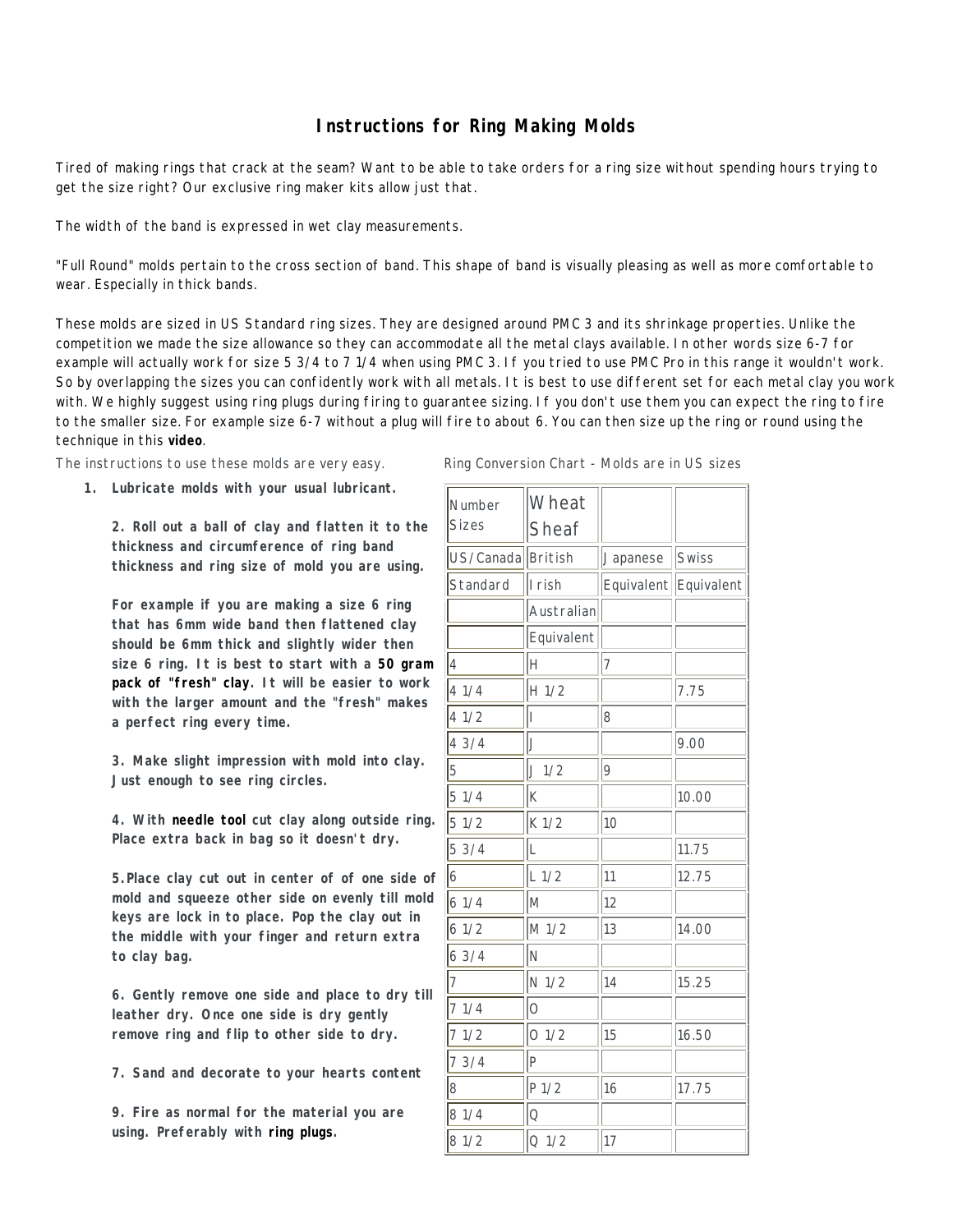## **Instructions for Ring Making Molds**

Tired of making rings that crack at the seam? Want to be able to take orders for a ring size without spending hours trying to get the size right? Our exclusive ring maker kits allow just that.

The width of the band is expressed in wet clay measurements.

"Full Round" molds pertain to the cross section of band. This shape of band is visually pleasing as well as more comfortable to wear. Especially in thick bands.

These molds are sized in US Standard ring sizes. They are designed around PMC 3 and its shrinkage properties. Unlike the competition we made the size allowance so they can accommodate all the metal clays available. In other words size 6-7 for example will actually work for size 5 3/4 to 7 1/4 when using PMC 3. If you tried to use PMC Pro in this range it wouldn't work. So by overlapping the sizes you can confidently work with all metals. It is best to use different set for each metal clay you work with. We highly suggest using ring plugs during firing to guarantee sizing. If you don't use them you can expect the ring to fire to the smaller size. For example size 6-7 without a plug will fire to about 6. You can then size up the ring or round using the technique in this **video**.

The instructions to use these molds are very easy. Fig.

**1. Lubricate molds with your usual lubricant.**

**2. Roll out a ball of clay and flatten it to the thickness and circumference of ring band thickness and ring size of mold you are using.**

**For example if you are making a size 6 ring that has 6mm wide band then flattened clay should be 6mm thick and slightly wider then size 6 ring. It is best to start with a 50 gram pack of "fresh" clay. It will be easier to work with the larger amount and the "fresh" makes a perfect ring every time.**

**3. Make slight impression with mold into clay. Just enough to see ring circles.**

**4. With needle tool cut clay along outside ring. Place extra back in bag so it doesn't dry.**

**5.Place clay cut out in center of of one side of mold and squeeze other side on evenly till mold keys are lock in to place. Pop the clay out in the middle with your finger and return extra to clay bag.**

**6. Gently remove one side and place to dry till leather dry. Once one side is dry gently remove ring and flip to other side to dry.**

**7. Sand and decorate to your hearts content**

**9. Fire as normal for the material you are using. Preferably with ring plugs.** 

|  | Ring Conversion Chart - Molds are in US sizes |  |  |  |  |  |  |
|--|-----------------------------------------------|--|--|--|--|--|--|
|--|-----------------------------------------------|--|--|--|--|--|--|

| Number<br><b>Sizes</b> | Wheat<br>Sheaf      |          |                       |  |
|------------------------|---------------------|----------|-----------------------|--|
| US/Canada British      |                     | Japanese | Swiss                 |  |
| Standard               | I rish              |          | Equivalent Equivalent |  |
|                        | Australian          |          |                       |  |
|                        | Equivalent          |          |                       |  |
| 4                      | Н                   | 7        |                       |  |
| 41/4                   | H <sub>1/2</sub>    |          | 7.75                  |  |
| 41/2                   | Ī                   | 8        |                       |  |
| 43/4                   | J                   |          | 9.00                  |  |
| 5                      | J1/2                | 9        |                       |  |
| 51/4                   | K                   |          | 10.00                 |  |
| 51/2                   | K 1/2               | 10       |                       |  |
| 53/4                   | L                   |          | 11.75                 |  |
| 6                      | $L$ 1/2             | 11       | 12.75                 |  |
| 61/4                   | M                   | 12       |                       |  |
| 61/2                   | M 1/2               | 13       | 14.00                 |  |
| 63/4                   | Ñ                   |          |                       |  |
| 7                      | N 1/2               | 14       | 15.25                 |  |
| 71/4                   | $\overline{O}$      |          |                       |  |
| 71/2                   | O <sub>1/2</sub>    | 15       | 16.50                 |  |
| 73/4                   | P                   |          |                       |  |
| 8                      | P <sub>1/2</sub>    | 16       | 17.75                 |  |
| 81/4                   | $\circlearrowright$ |          |                       |  |
| 81/2                   | Q <sub>1/2</sub>    | 17       |                       |  |